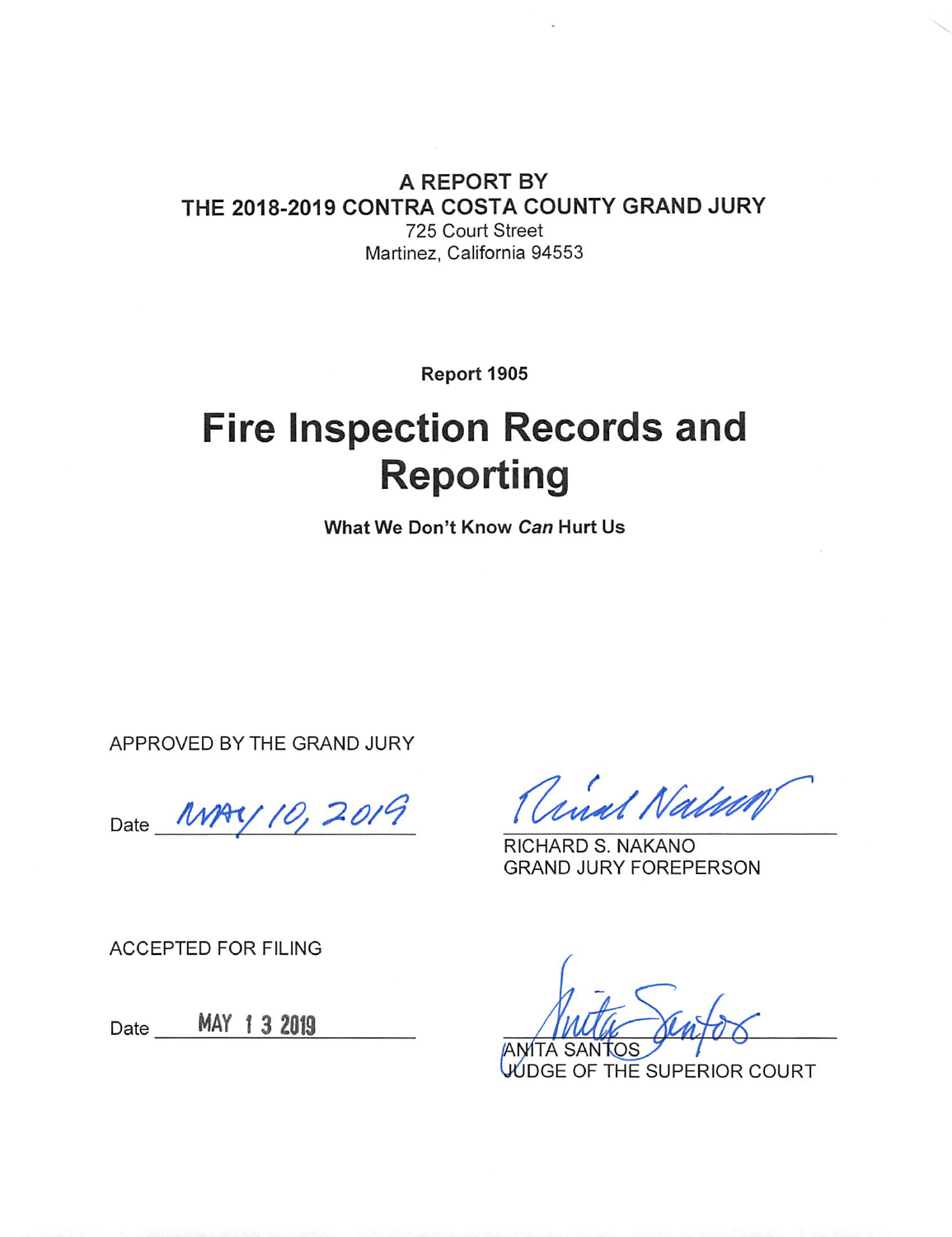#### A REPORT BY THE 2018-2019 CONTRA COSTA COUNTY GRAND JURY 725 Court Street Martinez, California 94553

Report 1905

# **Fire Inspection Records and Reporting**

What We Don't Know Can Hurt Us

APPROVED BY THE GRAND JURY

Date MAY 10, 2019

anal Nation

RICHARD S. NAKANO **GRAND JURY FOREPERSON** 

**ACCEPTED FOR FILING** 

Date MAY 1 3 2019

**ANITA SANTOS** 

VUDGE OF THE SUPERIOR COURT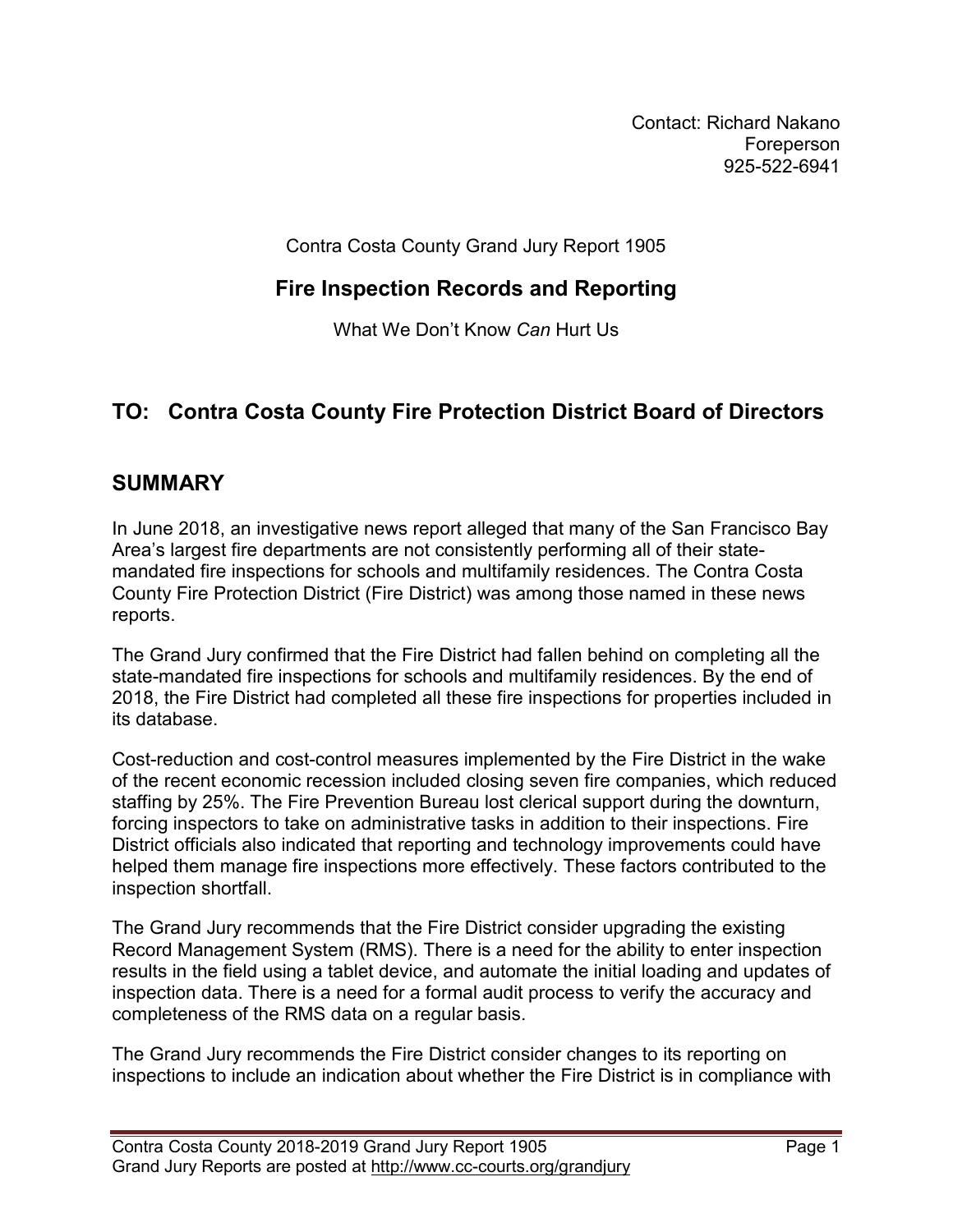Contact: Richard Nakano Foreperson 925-522-6941

Contra Costa County Grand Jury Report 1905

#### **Fire Inspection Records and Reporting**

What We Don't Know *Can* Hurt Us

## **TO: Contra Costa County Fire Protection District Board of Directors**

#### **SUMMARY**

In June 2018, an investigative news report alleged that many of the San Francisco Bay Area's largest fire departments are not consistently performing all of their statemandated fire inspections for schools and multifamily residences. The Contra Costa County Fire Protection District (Fire District) was among those named in these news reports.

The Grand Jury confirmed that the Fire District had fallen behind on completing all the state-mandated fire inspections for schools and multifamily residences. By the end of 2018, the Fire District had completed all these fire inspections for properties included in its database.

Cost-reduction and cost-control measures implemented by the Fire District in the wake of the recent economic recession included closing seven fire companies, which reduced staffing by 25%. The Fire Prevention Bureau lost clerical support during the downturn, forcing inspectors to take on administrative tasks in addition to their inspections. Fire District officials also indicated that reporting and technology improvements could have helped them manage fire inspections more effectively. These factors contributed to the inspection shortfall.

The Grand Jury recommends that the Fire District consider upgrading the existing Record Management System (RMS). There is a need for the ability to enter inspection results in the field using a tablet device, and automate the initial loading and updates of inspection data. There is a need for a formal audit process to verify the accuracy and completeness of the RMS data on a regular basis.

The Grand Jury recommends the Fire District consider changes to its reporting on inspections to include an indication about whether the Fire District is in compliance with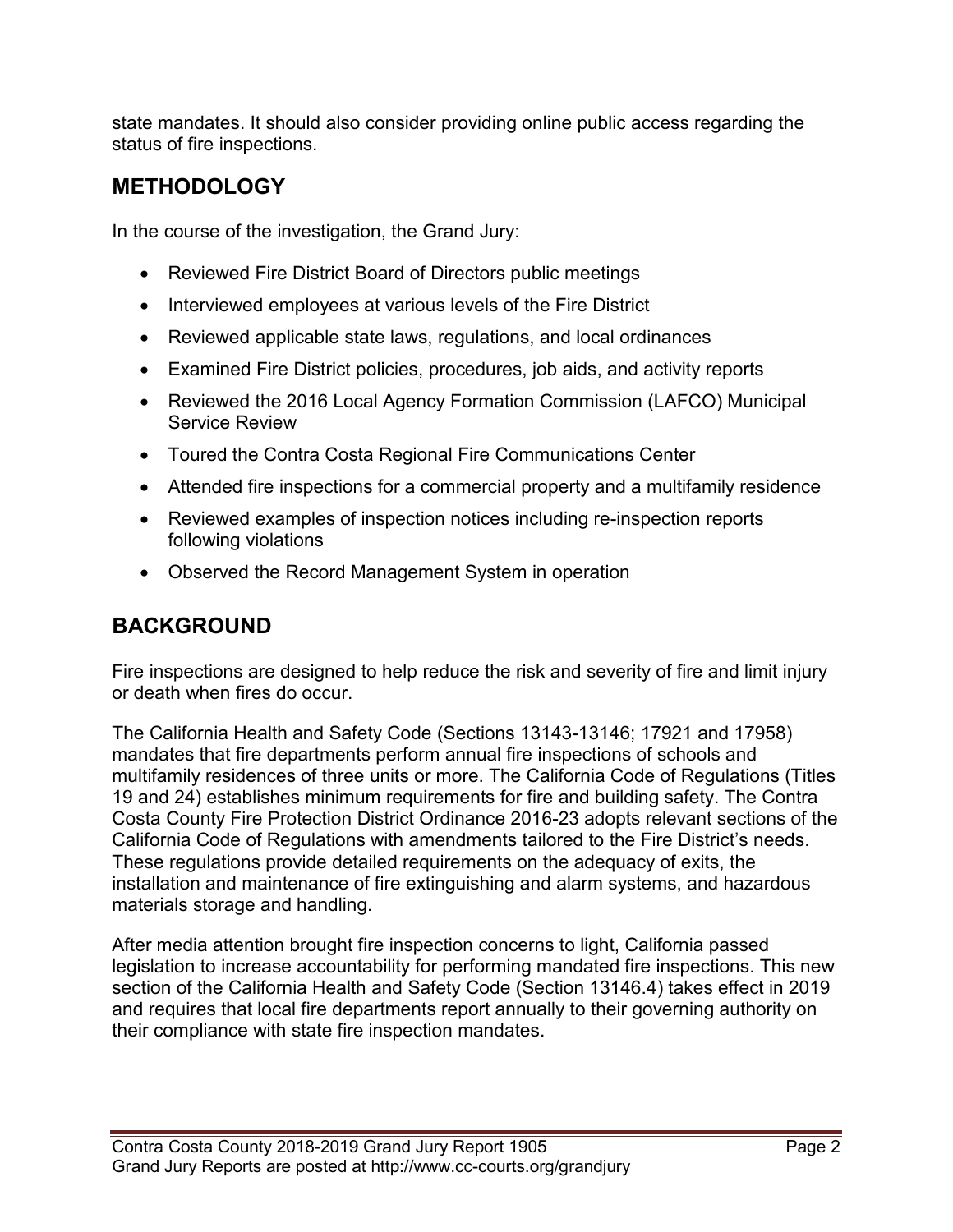state mandates. It should also consider providing online public access regarding the status of fire inspections.

# **METHODOLOGY**

In the course of the investigation, the Grand Jury:

- Reviewed Fire District Board of Directors public meetings
- Interviewed employees at various levels of the Fire District
- Reviewed applicable state laws, regulations, and local ordinances
- Examined Fire District policies, procedures, job aids, and activity reports
- Reviewed the 2016 Local Agency Formation Commission (LAFCO) Municipal Service Review
- Toured the Contra Costa Regional Fire Communications Center
- Attended fire inspections for a commercial property and a multifamily residence
- Reviewed examples of inspection notices including re-inspection reports following violations
- Observed the Record Management System in operation

## **BACKGROUND**

Fire inspections are designed to help reduce the risk and severity of fire and limit injury or death when fires do occur.

The California Health and Safety Code (Sections 13143-13146; 17921 and 17958) mandates that fire departments perform annual fire inspections of schools and multifamily residences of three units or more. The California Code of Regulations (Titles 19 and 24) establishes minimum requirements for fire and building safety. The Contra Costa County Fire Protection District Ordinance 2016-23 adopts relevant sections of the California Code of Regulations with amendments tailored to the Fire District's needs. These regulations provide detailed requirements on the adequacy of exits, the installation and maintenance of fire extinguishing and alarm systems, and hazardous materials storage and handling.

After media attention brought fire inspection concerns to light, California passed legislation to increase accountability for performing mandated fire inspections. This new section of the California Health and Safety Code (Section 13146.4) takes effect in 2019 and requires that local fire departments report annually to their governing authority on their compliance with state fire inspection mandates.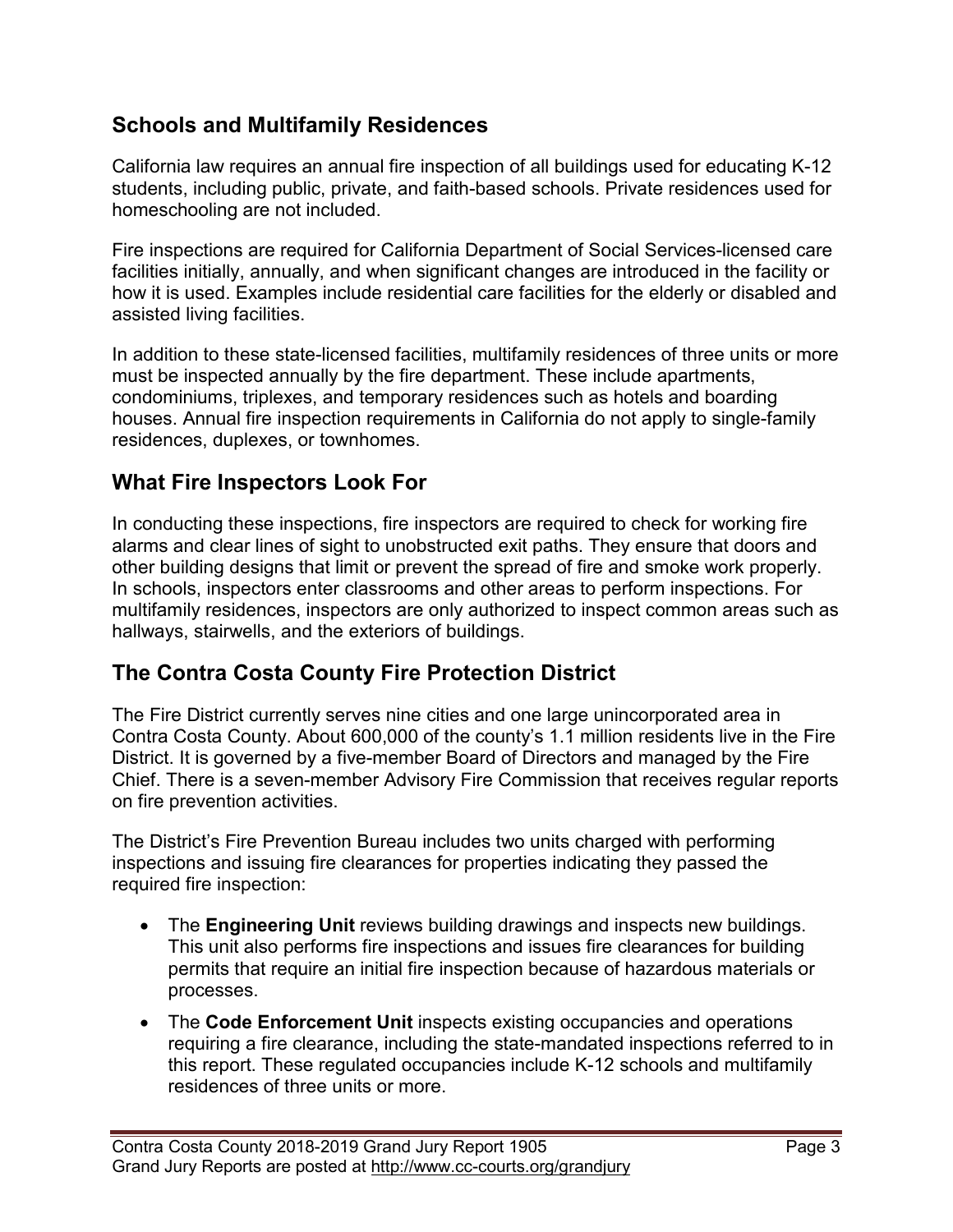#### **Schools and Multifamily Residences**

California law requires an annual fire inspection of all buildings used for educating K-12 students, including public, private, and faith-based schools. Private residences used for homeschooling are not included.

Fire inspections are required for California Department of Social Services-licensed care facilities initially, annually, and when significant changes are introduced in the facility or how it is used. Examples include residential care facilities for the elderly or disabled and assisted living facilities.

In addition to these state-licensed facilities, multifamily residences of three units or more must be inspected annually by the fire department. These include apartments, condominiums, triplexes, and temporary residences such as hotels and boarding houses. Annual fire inspection requirements in California do not apply to single-family residences, duplexes, or townhomes.

#### **What Fire Inspectors Look For**

In conducting these inspections, fire inspectors are required to check for working fire alarms and clear lines of sight to unobstructed exit paths. They ensure that doors and other building designs that limit or prevent the spread of fire and smoke work properly. In schools, inspectors enter classrooms and other areas to perform inspections. For multifamily residences, inspectors are only authorized to inspect common areas such as hallways, stairwells, and the exteriors of buildings.

## **The Contra Costa County Fire Protection District**

The Fire District currently serves nine cities and one large unincorporated area in Contra Costa County. About 600,000 of the county's 1.1 million residents live in the Fire District. It is governed by a five-member Board of Directors and managed by the Fire Chief. There is a seven-member Advisory Fire Commission that receives regular reports on fire prevention activities.

The District's Fire Prevention Bureau includes two units charged with performing inspections and issuing fire clearances for properties indicating they passed the required fire inspection:

- The **Engineering Unit** reviews building drawings and inspects new buildings. This unit also performs fire inspections and issues fire clearances for building permits that require an initial fire inspection because of hazardous materials or processes.
- The **Code Enforcement Unit** inspects existing occupancies and operations requiring a fire clearance, including the state-mandated inspections referred to in this report. These regulated occupancies include K-12 schools and multifamily residences of three units or more.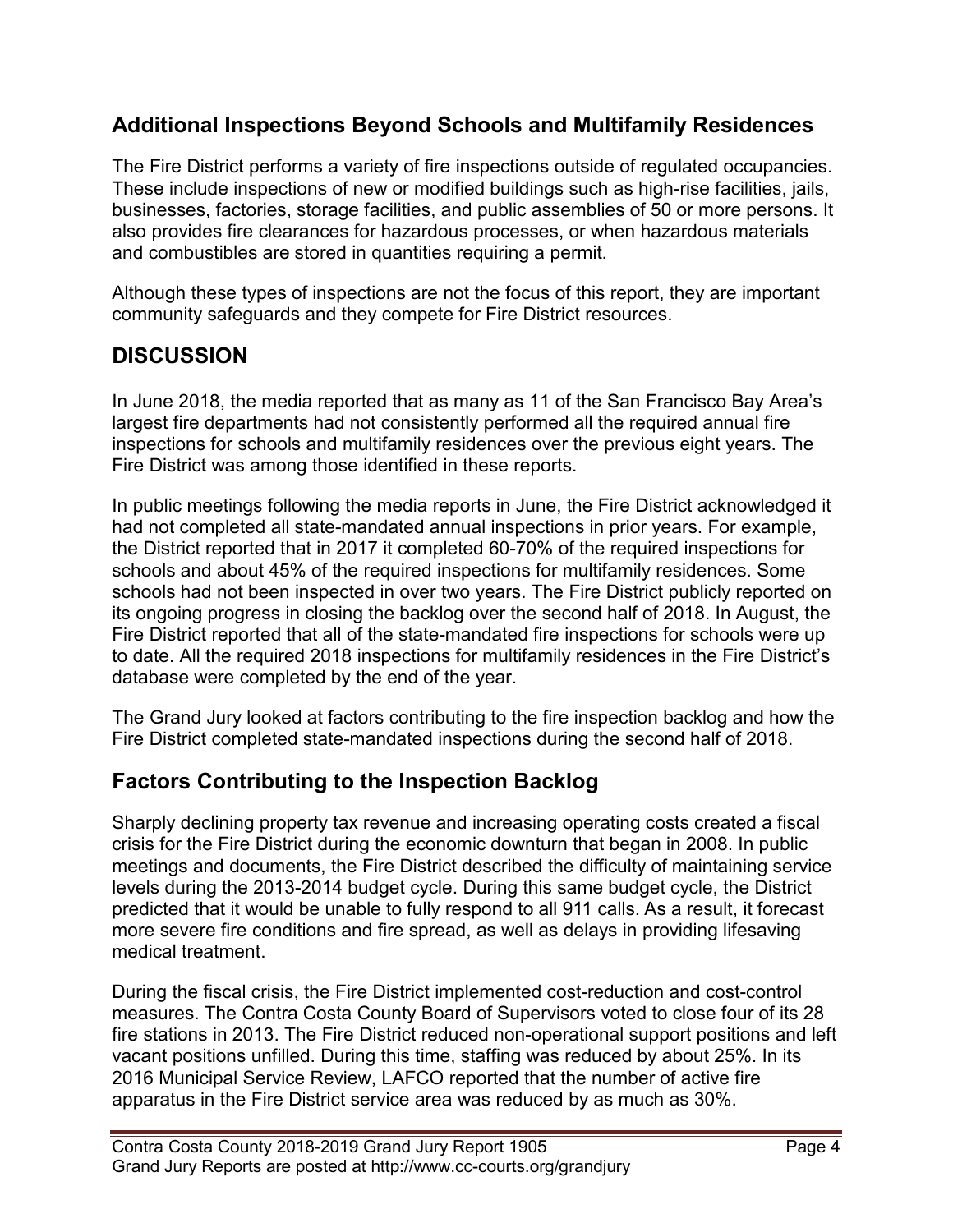#### **Additional Inspections Beyond Schools and Multifamily Residences**

The Fire District performs a variety of fire inspections outside of regulated occupancies. These include inspections of new or modified buildings such as high-rise facilities, jails, businesses, factories, storage facilities, and public assemblies of 50 or more persons. It also provides fire clearances for hazardous processes, or when hazardous materials and combustibles are stored in quantities requiring a permit.

Although these types of inspections are not the focus of this report, they are important community safeguards and they compete for Fire District resources.

## **DISCUSSION**

In June 2018, the media reported that as many as 11 of the San Francisco Bay Area's largest fire departments had not consistently performed all the required annual fire inspections for schools and multifamily residences over the previous eight years. The Fire District was among those identified in these reports.

In public meetings following the media reports in June, the Fire District acknowledged it had not completed all state-mandated annual inspections in prior years. For example, the District reported that in 2017 it completed 60-70% of the required inspections for schools and about 45% of the required inspections for multifamily residences. Some schools had not been inspected in over two years. The Fire District publicly reported on its ongoing progress in closing the backlog over the second half of 2018. In August, the Fire District reported that all of the state-mandated fire inspections for schools were up to date. All the required 2018 inspections for multifamily residences in the Fire District's database were completed by the end of the year.

The Grand Jury looked at factors contributing to the fire inspection backlog and how the Fire District completed state-mandated inspections during the second half of 2018.

## **Factors Contributing to the Inspection Backlog**

Sharply declining property tax revenue and increasing operating costs created a fiscal crisis for the Fire District during the economic downturn that began in 2008. In public meetings and documents, the Fire District described the difficulty of maintaining service levels during the 2013-2014 budget cycle. During this same budget cycle, the District predicted that it would be unable to fully respond to all 911 calls. As a result, it forecast more severe fire conditions and fire spread, as well as delays in providing lifesaving medical treatment.

During the fiscal crisis, the Fire District implemented cost-reduction and cost-control measures. The Contra Costa County Board of Supervisors voted to close four of its 28 fire stations in 2013. The Fire District reduced non-operational support positions and left vacant positions unfilled. During this time, staffing was reduced by about 25%. In its 2016 Municipal Service Review, LAFCO reported that the number of active fire apparatus in the Fire District service area was reduced by as much as 30%.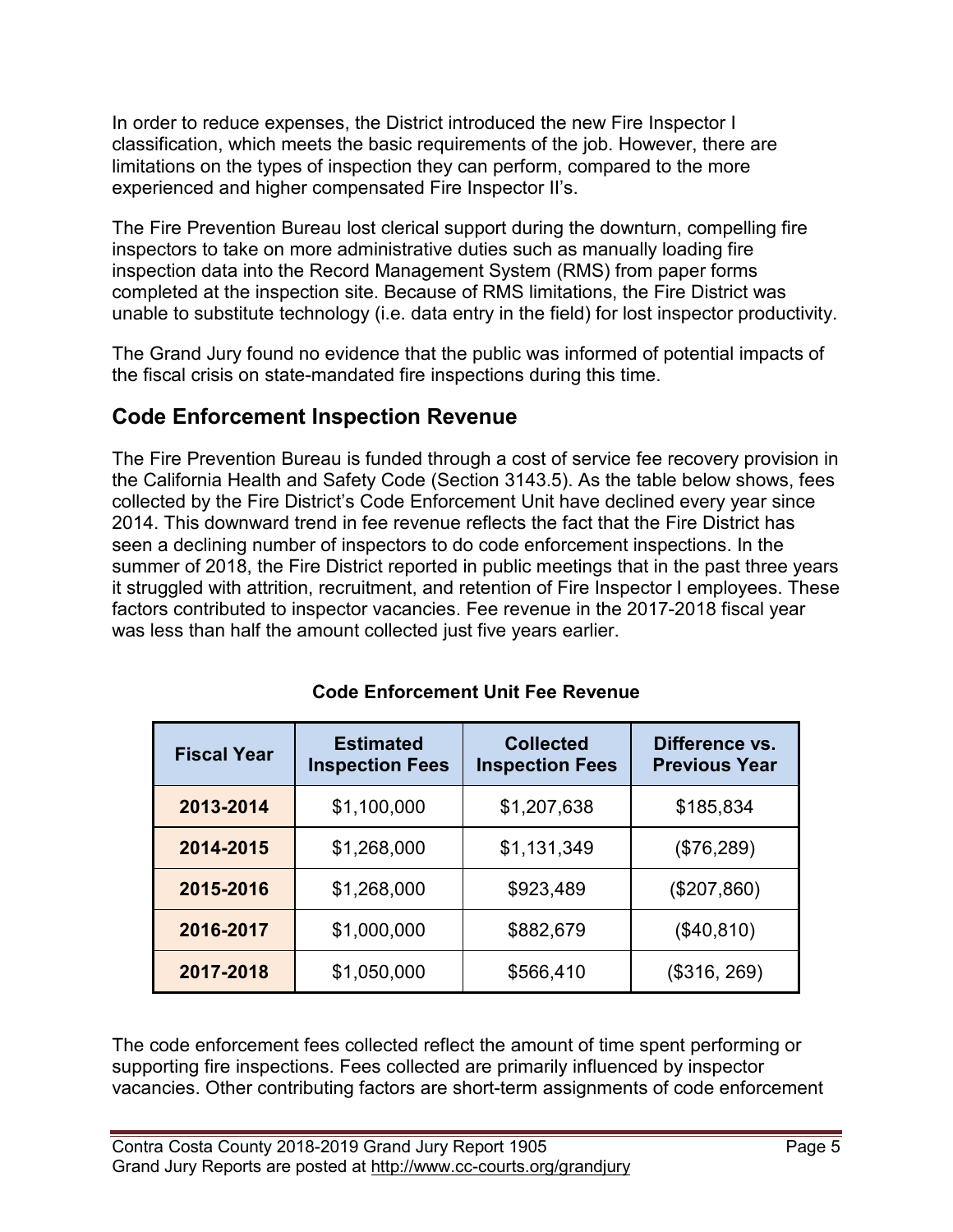In order to reduce expenses, the District introduced the new Fire Inspector I classification, which meets the basic requirements of the job. However, there are limitations on the types of inspection they can perform, compared to the more experienced and higher compensated Fire Inspector II's.

The Fire Prevention Bureau lost clerical support during the downturn, compelling fire inspectors to take on more administrative duties such as manually loading fire inspection data into the Record Management System (RMS) from paper forms completed at the inspection site. Because of RMS limitations, the Fire District was unable to substitute technology (i.e. data entry in the field) for lost inspector productivity.

The Grand Jury found no evidence that the public was informed of potential impacts of the fiscal crisis on state-mandated fire inspections during this time.

#### **Code Enforcement Inspection Revenue**

The Fire Prevention Bureau is funded through a cost of service fee recovery provision in the California Health and Safety Code (Section 3143.5). As the table below shows, fees collected by the Fire District's Code Enforcement Unit have declined every year since 2014. This downward trend in fee revenue reflects the fact that the Fire District has seen a declining number of inspectors to do code enforcement inspections. In the summer of 2018, the Fire District reported in public meetings that in the past three years it struggled with attrition, recruitment, and retention of Fire Inspector I employees. These factors contributed to inspector vacancies. Fee revenue in the 2017-2018 fiscal year was less than half the amount collected just five years earlier.

| <b>Fiscal Year</b> | <b>Estimated</b><br><b>Inspection Fees</b> | <b>Collected</b><br><b>Inspection Fees</b> | Difference vs.<br><b>Previous Year</b> |
|--------------------|--------------------------------------------|--------------------------------------------|----------------------------------------|
| 2013-2014          | \$1,100,000                                | \$1,207,638                                | \$185,834                              |
| 2014-2015          | \$1,268,000                                | \$1,131,349                                | (\$76,289)                             |
| 2015-2016          | \$1,268,000                                | \$923,489                                  | (\$207,860)                            |
| 2016-2017          | \$1,000,000                                | \$882,679                                  | (\$40, 810)                            |
| 2017-2018          | \$1,050,000                                | \$566,410                                  | (\$316, 269)                           |

**Code Enforcement Unit Fee Revenue**

The code enforcement fees collected reflect the amount of time spent performing or supporting fire inspections. Fees collected are primarily influenced by inspector vacancies. Other contributing factors are short-term assignments of code enforcement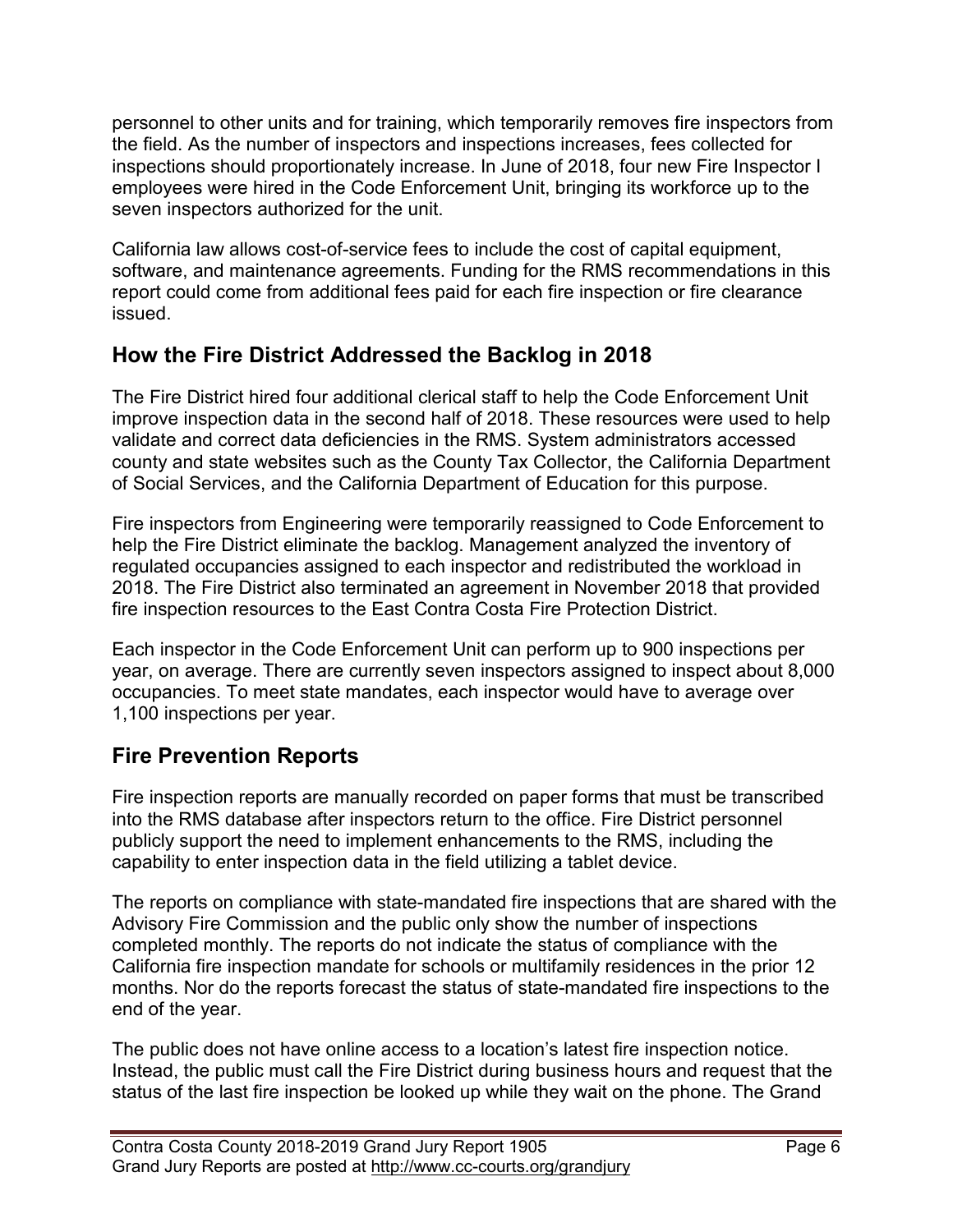personnel to other units and for training, which temporarily removes fire inspectors from the field. As the number of inspectors and inspections increases, fees collected for inspections should proportionately increase. In June of 2018, four new Fire Inspector I employees were hired in the Code Enforcement Unit, bringing its workforce up to the seven inspectors authorized for the unit.

California law allows cost-of-service fees to include the cost of capital equipment, software, and maintenance agreements. Funding for the RMS recommendations in this report could come from additional fees paid for each fire inspection or fire clearance issued.

#### **How the Fire District Addressed the Backlog in 2018**

The Fire District hired four additional clerical staff to help the Code Enforcement Unit improve inspection data in the second half of 2018. These resources were used to help validate and correct data deficiencies in the RMS. System administrators accessed county and state websites such as the County Tax Collector, the California Department of Social Services, and the California Department of Education for this purpose.

Fire inspectors from Engineering were temporarily reassigned to Code Enforcement to help the Fire District eliminate the backlog. Management analyzed the inventory of regulated occupancies assigned to each inspector and redistributed the workload in 2018. The Fire District also terminated an agreement in November 2018 that provided fire inspection resources to the East Contra Costa Fire Protection District.

Each inspector in the Code Enforcement Unit can perform up to 900 inspections per year, on average. There are currently seven inspectors assigned to inspect about 8,000 occupancies. To meet state mandates, each inspector would have to average over 1,100 inspections per year.

## **Fire Prevention Reports**

Fire inspection reports are manually recorded on paper forms that must be transcribed into the RMS database after inspectors return to the office. Fire District personnel publicly support the need to implement enhancements to the RMS, including the capability to enter inspection data in the field utilizing a tablet device.

The reports on compliance with state-mandated fire inspections that are shared with the Advisory Fire Commission and the public only show the number of inspections completed monthly. The reports do not indicate the status of compliance with the California fire inspection mandate for schools or multifamily residences in the prior 12 months. Nor do the reports forecast the status of state-mandated fire inspections to the end of the year.

The public does not have online access to a location's latest fire inspection notice. Instead, the public must call the Fire District during business hours and request that the status of the last fire inspection be looked up while they wait on the phone. The Grand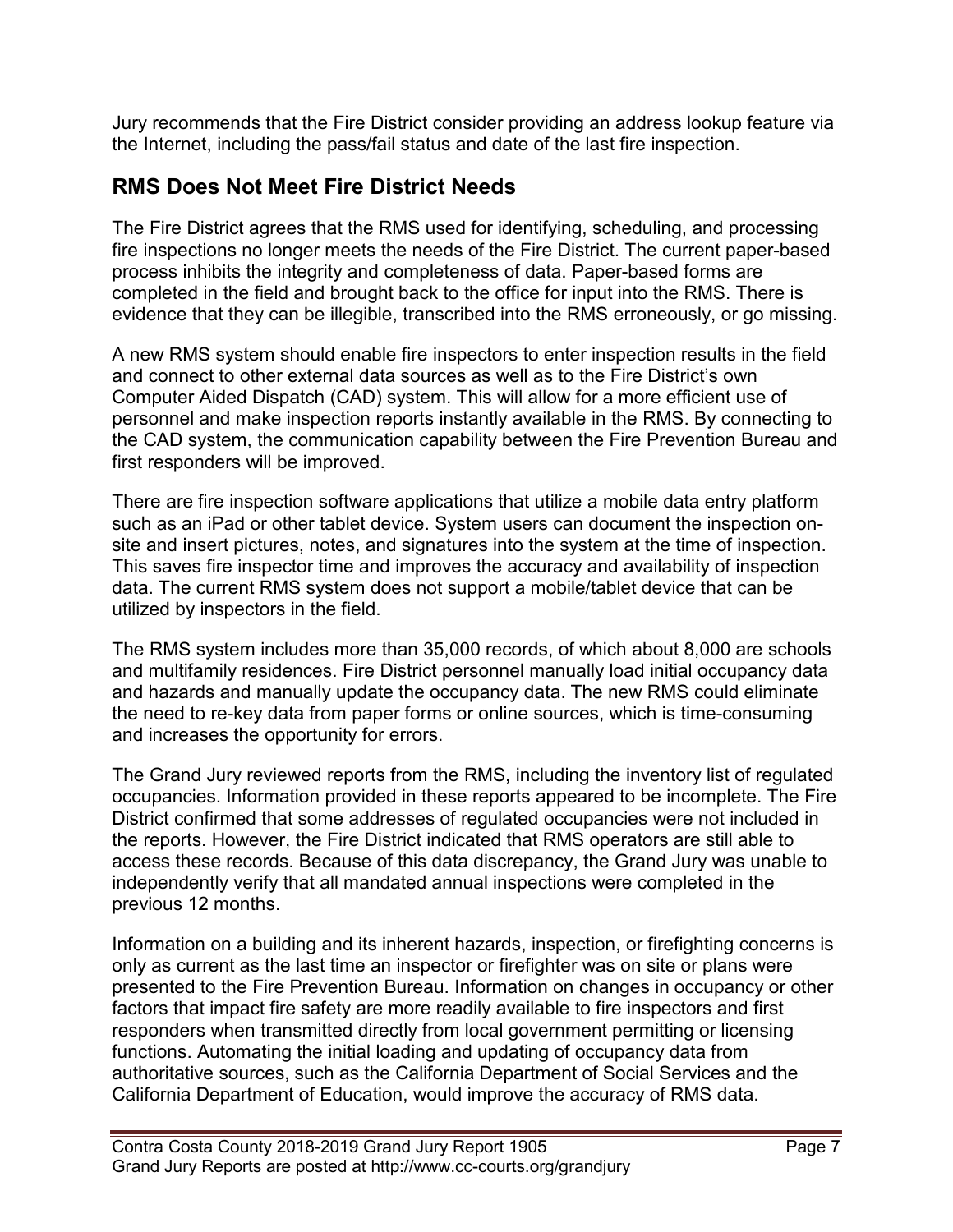Jury recommends that the Fire District consider providing an address lookup feature via the Internet, including the pass/fail status and date of the last fire inspection.

## **RMS Does Not Meet Fire District Needs**

The Fire District agrees that the RMS used for identifying, scheduling, and processing fire inspections no longer meets the needs of the Fire District. The current paper-based process inhibits the integrity and completeness of data. Paper-based forms are completed in the field and brought back to the office for input into the RMS. There is evidence that they can be illegible, transcribed into the RMS erroneously, or go missing.

A new RMS system should enable fire inspectors to enter inspection results in the field and connect to other external data sources as well as to the Fire District's own Computer Aided Dispatch (CAD) system. This will allow for a more efficient use of personnel and make inspection reports instantly available in the RMS. By connecting to the CAD system, the communication capability between the Fire Prevention Bureau and first responders will be improved.

There are fire inspection software applications that utilize a mobile data entry platform such as an iPad or other tablet device. System users can document the inspection onsite and insert pictures, notes, and signatures into the system at the time of inspection. This saves fire inspector time and improves the accuracy and availability of inspection data. The current RMS system does not support a mobile/tablet device that can be utilized by inspectors in the field.

The RMS system includes more than 35,000 records, of which about 8,000 are schools and multifamily residences. Fire District personnel manually load initial occupancy data and hazards and manually update the occupancy data. The new RMS could eliminate the need to re-key data from paper forms or online sources, which is time-consuming and increases the opportunity for errors.

The Grand Jury reviewed reports from the RMS, including the inventory list of regulated occupancies. Information provided in these reports appeared to be incomplete. The Fire District confirmed that some addresses of regulated occupancies were not included in the reports. However, the Fire District indicated that RMS operators are still able to access these records. Because of this data discrepancy, the Grand Jury was unable to independently verify that all mandated annual inspections were completed in the previous 12 months.

Information on a building and its inherent hazards, inspection, or firefighting concerns is only as current as the last time an inspector or firefighter was on site or plans were presented to the Fire Prevention Bureau. Information on changes in occupancy or other factors that impact fire safety are more readily available to fire inspectors and first responders when transmitted directly from local government permitting or licensing functions. Automating the initial loading and updating of occupancy data from authoritative sources, such as the California Department of Social Services and the California Department of Education, would improve the accuracy of RMS data.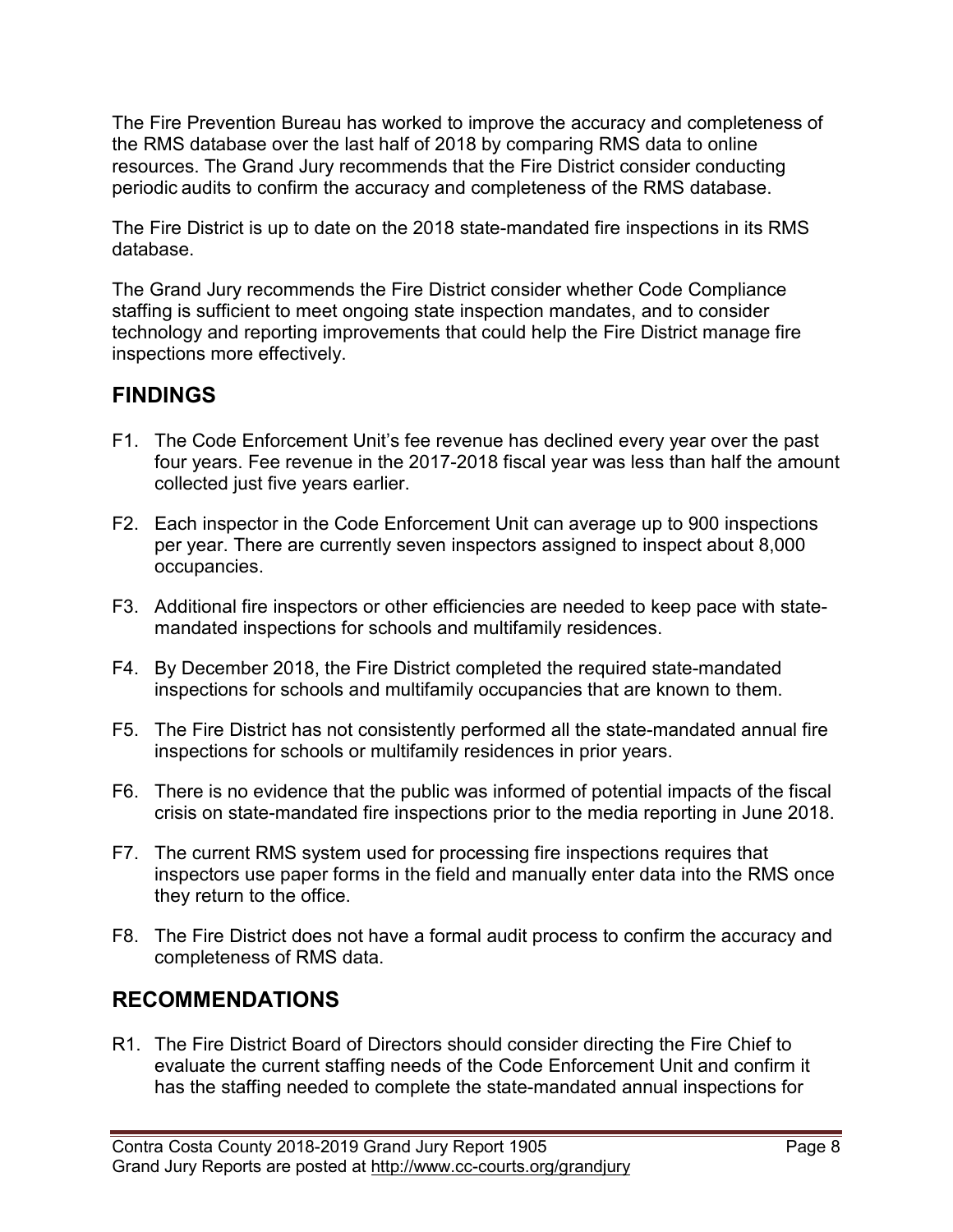The Fire Prevention Bureau has worked to improve the accuracy and completeness of the RMS database over the last half of 2018 by comparing RMS data to online resources. The Grand Jury recommends that the Fire District consider conducting periodic audits to confirm the accuracy and completeness of the RMS database.

The Fire District is up to date on the 2018 state-mandated fire inspections in its RMS database.

The Grand Jury recommends the Fire District consider whether Code Compliance staffing is sufficient to meet ongoing state inspection mandates, and to consider technology and reporting improvements that could help the Fire District manage fire inspections more effectively.

## **FINDINGS**

- F1. The Code Enforcement Unit's fee revenue has declined every year over the past four years. Fee revenue in the 2017-2018 fiscal year was less than half the amount collected just five years earlier.
- F2. Each inspector in the Code Enforcement Unit can average up to 900 inspections per year. There are currently seven inspectors assigned to inspect about 8,000 occupancies.
- F3. Additional fire inspectors or other efficiencies are needed to keep pace with statemandated inspections for schools and multifamily residences.
- F4. By December 2018, the Fire District completed the required state-mandated inspections for schools and multifamily occupancies that are known to them.
- F5. The Fire District has not consistently performed all the state-mandated annual fire inspections for schools or multifamily residences in prior years.
- F6. There is no evidence that the public was informed of potential impacts of the fiscal crisis on state-mandated fire inspections prior to the media reporting in June 2018.
- F7. The current RMS system used for processing fire inspections requires that inspectors use paper forms in the field and manually enter data into the RMS once they return to the office.
- F8. The Fire District does not have a formal audit process to confirm the accuracy and completeness of RMS data.

## **RECOMMENDATIONS**

R1. The Fire District Board of Directors should consider directing the Fire Chief to evaluate the current staffing needs of the Code Enforcement Unit and confirm it has the staffing needed to complete the state-mandated annual inspections for